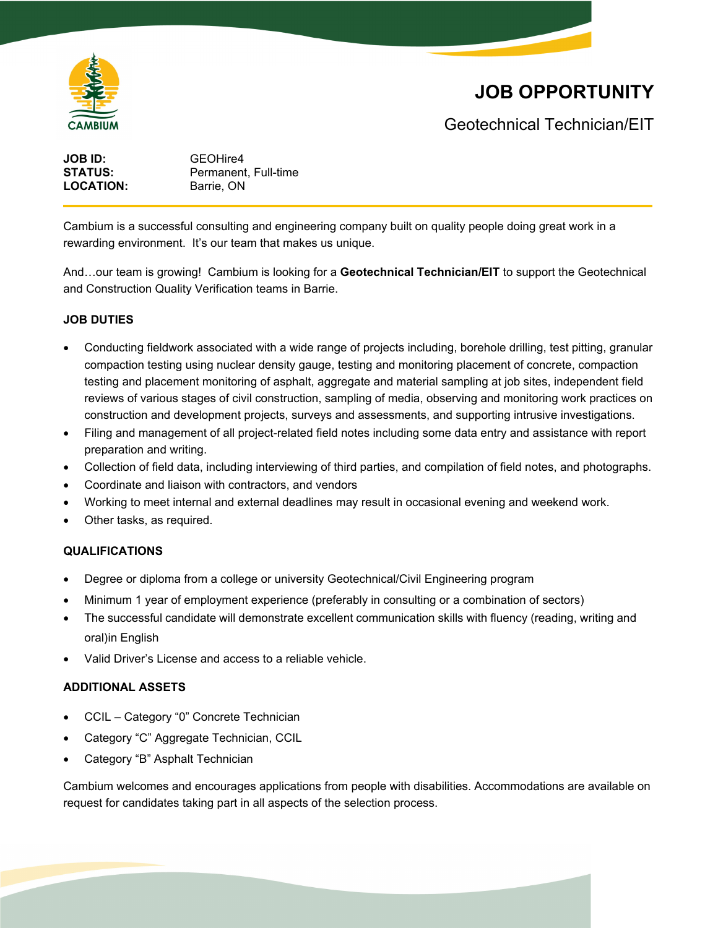

## **JOB OPPORTUNITY**

Geotechnical Technician/EIT

| GEOHire4             |
|----------------------|
| Permanent, Full-time |
| Barrie, ON           |
|                      |

Cambium is a successful consulting and engineering company built on quality people doing great work in a rewarding environment. It's our team that makes us unique.

And…our team is growing! Cambium is looking for a **Geotechnical Technician/EIT** to support the Geotechnical and Construction Quality Verification teams in Barrie.

#### **JOB DUTIES**

- Conducting fieldwork associated with a wide range of projects including, borehole drilling, test pitting, granular compaction testing using nuclear density gauge, testing and monitoring placement of concrete, compaction testing and placement monitoring of asphalt, aggregate and material sampling at job sites, independent field reviews of various stages of civil construction, sampling of media, observing and monitoring work practices on construction and development projects, surveys and assessments, and supporting intrusive investigations.
- Filing and management of all project-related field notes including some data entry and assistance with report preparation and writing.
- Collection of field data, including interviewing of third parties, and compilation of field notes, and photographs.
- Coordinate and liaison with contractors, and vendors
- Working to meet internal and external deadlines may result in occasional evening and weekend work.
- Other tasks, as required.

#### **QUALIFICATIONS**

- Degree or diploma from a college or university Geotechnical/Civil Engineering program
- Minimum 1 year of employment experience (preferably in consulting or a combination of sectors)
- The successful candidate will demonstrate excellent communication skills with fluency (reading, writing and oral) in English
- Valid Driver's License and access to a reliable vehicle.

### **ADDITIONAL ASSETS**

- CCIL Category "0" Concrete Technician
- Category "C" Aggregate Technician, CCIL
- Category "B" Asphalt Technician

Cambium welcomes and encourages applications from people with disabilities. Accommodations are available on request for candidates taking part in all aspects of the selection process.